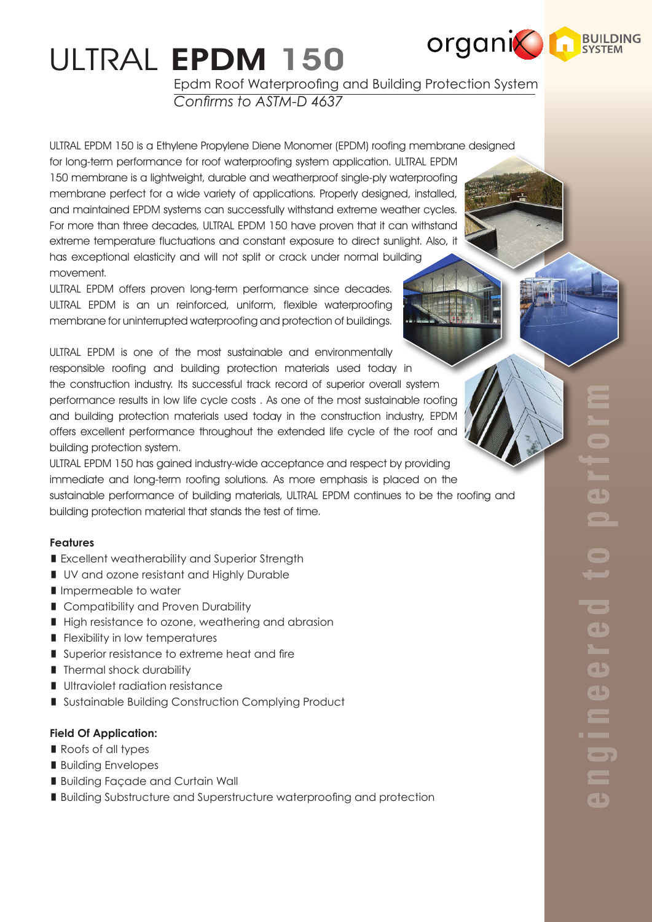# ULTRAL EPDM 150

Epdm Roof Waterproofing and Building Protection System *Confirms to ASTM-D 4637*

**organic REVILED** 

ULTRAL EPDM 150 is a Ethylene Propylene Diene Monomer (EPDM) roofing membrane designed for long-term performance for roof waterproofing system application. ULTRAL EPDM 150 membrane is a lightweight, durable and weatherproof single-ply waterproofing membrane perfect for a wide variety of applications. Properly designed, installed, and maintained EPDM systems can successfully withstand extreme weather cycles. For more than three decades, ULTRAL EPDM 150 have proven that it can withstand extreme temperature fluctuations and constant exposure to direct sunlight. Also, it has exceptional elasticity and will not split or crack under normal building movement.

ULTRAL EPDM offers proven long-term performance since decades. ULTRAL EPDM is an un reinforced, uniform, flexible waterproofing membrane for uninterrupted waterproofing and protection of buildings.

ULTRAL EPDM is one of the most sustainable and environmentally responsible roofing and building protection materials used today in the construction industry. Its successful track record of superior overall system performance results in low life cycle costs . As one of the most sustainable roofing and building protection materials used today in the construction industry, EPDM offers excellent performance throughout the extended life cycle of the roof and building protection system.

ULTRAL EPDM 150 has gained industry-wide acceptance and respect by providing immediate and long-term roofing solutions. As more emphasis is placed on the sustainable performance of building materials, ULTRAL EPDM continues to be the roofing and building protection material that stands the test of time.

# **Features**

- **Excellent weatherability and Superior Strength**
- UV and ozone resistant and Highly Durable
- I Impermeable to water
- Compatibility and Proven Durability
- High resistance to ozone, weathering and abrasion
- **Filexibility in low temperatures**
- Superior resistance to extreme heat and fire
- **Thermal shock durability**
- **Ultraviolet radiation resistance**
- Sustainable Building Construction Complying Product

#### **Field Of Application:**

- Roofs of all types
- **Building Envelopes**
- **Building Façade and Curtain Wall**
- **Building Substructure and Superstructure waterproofing and protection**

GS  $\overline{\phantom{a}}$  $\overline{\phantom{a}}$  $\blacksquare$  $\blacksquare$  $\overline{\phantom{a}}$  $\overline{\phantom{0}}$  $\overline{\phantom{a}}$  $\overline{\phantom{a}}$